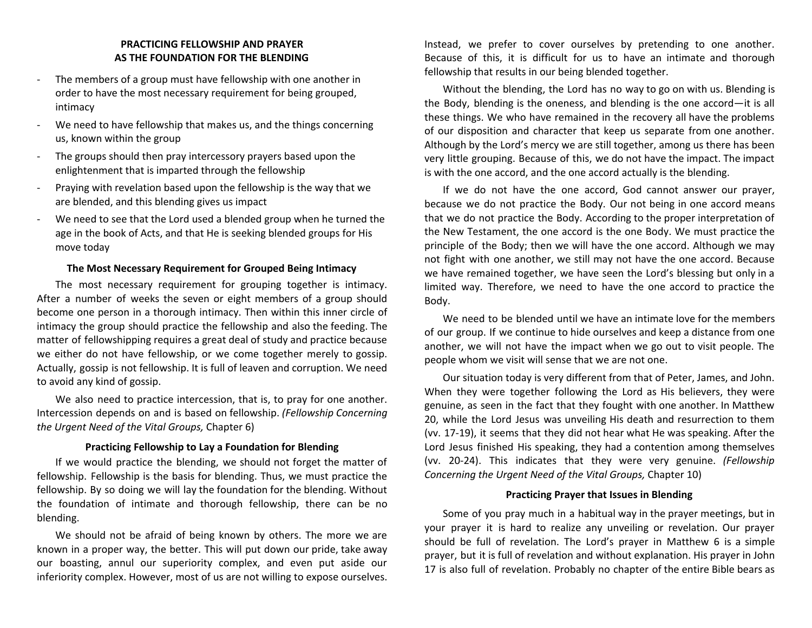# **PRACTICING FELLOWSHIP AND PRAYER AS THE FOUNDATION FOR THE BLENDING**

- The members of a group must have fellowship with one another in order to have the most necessary requirement for being grouped, intimacy
- We need to have fellowship that makes us, and the things concerning us, known within the group
- The groups should then pray intercessory prayers based upon the enlightenment that is imparted through the fellowship
- Praying with revelation based upon the fellowship is the way that we are blended, and this blending gives us impact
- We need to see that the Lord used a blended group when he turned the age in the book of Acts, and that He is seeking blended groups for His move today

#### **The Most Necessary Requirement for Grouped Being Intimacy**

The most necessary requirement for grouping together is intimacy. After a number of weeks the seven or eight members of a group should become one person in a thorough intimacy. Then within this inner circle of intimacy the group should practice the fellowship and also the feeding. The matter of fellowshipping requires a great deal of study and practice because we either do not have fellowship, or we come together merely to gossip. Actually, gossip is not fellowship. It is full of leaven and corruption. We need to avoid any kind of gossip.

We also need to practice intercession, that is, to pray for one another. Intercession depends on and is based on fellowship. *(Fellowship Concerning the Urgent Need of the Vital Groups,* Chapter 6)

# **Practicing Fellowship to Lay a Foundation for Blending**

If we would practice the blending, we should not forget the matter of fellowship. Fellowship is the basis for blending. Thus, we must practice the fellowship. By so doing we will lay the foundation for the blending. Without the foundation of intimate and thorough fellowship, there can be no blending.

We should not be afraid of being known by others. The more we are known in a proper way, the better. This will put down our pride, take away our boasting, annul our superiority complex, and even put aside our inferiority complex. However, most of us are not willing to expose ourselves.

Instead, we prefer to cover ourselves by pretending to one another. Because of this, it is difficult for us to have an intimate and thorough fellowship that results in our being blended together.

Without the blending, the Lord has no way to go on with us. Blending is the Body, blending is the oneness, and blending is the one accord—it is all these things. We who have remained in the recovery all have the problems of our disposition and character that keep us separate from one another. Although by the Lord's mercy we are still together, among us there has been very little grouping. Because of this, we do not have the impact. The impact is with the one accord, and the one accord actually is the blending.

If we do not have the one accord, God cannot answer our prayer, because we do not practice the Body. Our not being in one accord means that we do not practice the Body. According to the proper interpretation of the New Testament, the one accord is the one Body. We must practice the principle of the Body; then we will have the one accord. Although we may not fight with one another, we still may not have the one accord. Because we have remained together, we have seen the Lord's blessing but only in a limited way. Therefore, we need to have the one accord to practice the Body.

We need to be blended until we have an intimate love for the members of our group. If we continue to hide ourselves and keep a distance from one another, we will not have the impact when we go out to visit people. The people whom we visit will sense that we are not one.

Our situation today is very different from that of Peter, James, and John. When they were together following the Lord as His believers, they were genuine, as seen in the fact that they fought with one another. In Matthew 20, while the Lord Jesus was unveiling His death and resurrection to them (vv. 17-19), it seems that they did not hear what He was speaking. After the Lord Jesus finished His speaking, they had a contention among themselves (vv. 20-24). This indicates that they were very genuine. *(Fellowship Concerning the Urgent Need of the Vital Groups,* Chapter 10)

# **Practicing Prayer that Issues in Blending**

Some of you pray much in a habitual way in the prayer meetings, but in your prayer it is hard to realize any unveiling or revelation. Our prayer should be full of revelation. The Lord's prayer in Matthew 6 is a simple prayer, but it is full of revelation and without explanation. His prayer in John 17 is also full of revelation. Probably no chapter of the entire Bible bears as